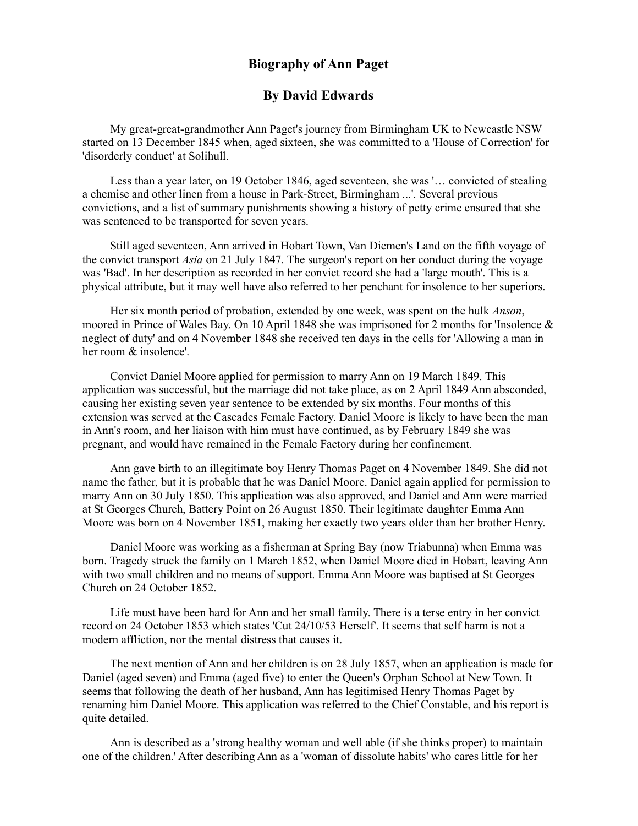## Biography of Ann Paget

## By David Edwards

My great-great-grandmother Ann Paget's journey from Birmingham UK to Newcastle NSW started on 13 December 1845 when, aged sixteen, she was committed to a 'House of Correction' for 'disorderly conduct' at Solihull.

Less than a year later, on 19 October 1846, aged seventeen, she was '… convicted of stealing a chemise and other linen from a house in Park-Street, Birmingham ...'. Several previous convictions, and a list of summary punishments showing a history of petty crime ensured that she was sentenced to be transported for seven years.

Still aged seventeen, Ann arrived in Hobart Town, Van Diemen's Land on the fifth voyage of the convict transport Asia on 21 July 1847. The surgeon's report on her conduct during the voyage was 'Bad'. In her description as recorded in her convict record she had a 'large mouth'. This is a physical attribute, but it may well have also referred to her penchant for insolence to her superiors.

Her six month period of probation, extended by one week, was spent on the hulk *Anson*, moored in Prince of Wales Bay. On 10 April 1848 she was imprisoned for 2 months for 'Insolence & neglect of duty' and on 4 November 1848 she received ten days in the cells for 'Allowing a man in her room & insolence'.

Convict Daniel Moore applied for permission to marry Ann on 19 March 1849. This application was successful, but the marriage did not take place, as on 2 April 1849 Ann absconded, causing her existing seven year sentence to be extended by six months. Four months of this extension was served at the Cascades Female Factory. Daniel Moore is likely to have been the man in Ann's room, and her liaison with him must have continued, as by February 1849 she was pregnant, and would have remained in the Female Factory during her confinement.

Ann gave birth to an illegitimate boy Henry Thomas Paget on 4 November 1849. She did not name the father, but it is probable that he was Daniel Moore. Daniel again applied for permission to marry Ann on 30 July 1850. This application was also approved, and Daniel and Ann were married at St Georges Church, Battery Point on 26 August 1850. Their legitimate daughter Emma Ann Moore was born on 4 November 1851, making her exactly two years older than her brother Henry.

Daniel Moore was working as a fisherman at Spring Bay (now Triabunna) when Emma was born. Tragedy struck the family on 1 March 1852, when Daniel Moore died in Hobart, leaving Ann with two small children and no means of support. Emma Ann Moore was baptised at St Georges Church on 24 October 1852.

Life must have been hard for Ann and her small family. There is a terse entry in her convict record on 24 October 1853 which states 'Cut 24/10/53 Herself'. It seems that self harm is not a modern affliction, nor the mental distress that causes it.

The next mention of Ann and her children is on 28 July 1857, when an application is made for Daniel (aged seven) and Emma (aged five) to enter the Queen's Orphan School at New Town. It seems that following the death of her husband, Ann has legitimised Henry Thomas Paget by renaming him Daniel Moore. This application was referred to the Chief Constable, and his report is quite detailed.

Ann is described as a 'strong healthy woman and well able (if she thinks proper) to maintain one of the children.' After describing Ann as a 'woman of dissolute habits' who cares little for her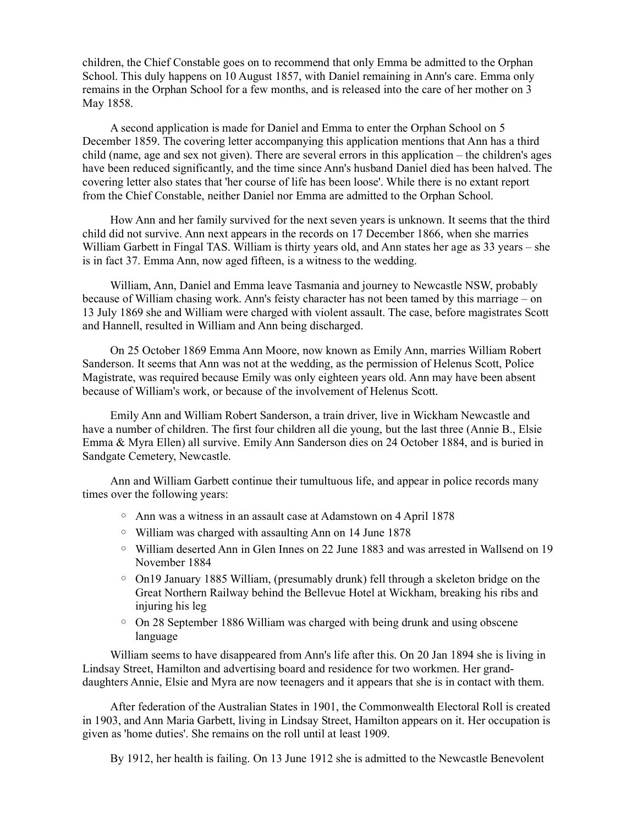children, the Chief Constable goes on to recommend that only Emma be admitted to the Orphan School. This duly happens on 10 August 1857, with Daniel remaining in Ann's care. Emma only remains in the Orphan School for a few months, and is released into the care of her mother on 3 May 1858.

A second application is made for Daniel and Emma to enter the Orphan School on 5 December 1859. The covering letter accompanying this application mentions that Ann has a third child (name, age and sex not given). There are several errors in this application – the children's ages have been reduced significantly, and the time since Ann's husband Daniel died has been halved. The covering letter also states that 'her course of life has been loose'. While there is no extant report from the Chief Constable, neither Daniel nor Emma are admitted to the Orphan School.

How Ann and her family survived for the next seven years is unknown. It seems that the third child did not survive. Ann next appears in the records on 17 December 1866, when she marries William Garbett in Fingal TAS. William is thirty years old, and Ann states her age as 33 years – she is in fact 37. Emma Ann, now aged fifteen, is a witness to the wedding.

William, Ann, Daniel and Emma leave Tasmania and journey to Newcastle NSW, probably because of William chasing work. Ann's feisty character has not been tamed by this marriage – on 13 July 1869 she and William were charged with violent assault. The case, before magistrates Scott and Hannell, resulted in William and Ann being discharged.

On 25 October 1869 Emma Ann Moore, now known as Emily Ann, marries William Robert Sanderson. It seems that Ann was not at the wedding, as the permission of Helenus Scott, Police Magistrate, was required because Emily was only eighteen years old. Ann may have been absent because of William's work, or because of the involvement of Helenus Scott.

Emily Ann and William Robert Sanderson, a train driver, live in Wickham Newcastle and have a number of children. The first four children all die young, but the last three (Annie B., Elsie Emma & Myra Ellen) all survive. Emily Ann Sanderson dies on 24 October 1884, and is buried in Sandgate Cemetery, Newcastle.

Ann and William Garbett continue their tumultuous life, and appear in police records many times over the following years:

- Ann was a witness in an assault case at Adamstown on 4 April 1878
- William was charged with assaulting Ann on 14 June 1878
- William deserted Ann in Glen Innes on 22 June 1883 and was arrested in Wallsend on 19 November 1884
- On19 January 1885 William, (presumably drunk) fell through a skeleton bridge on the Great Northern Railway behind the Bellevue Hotel at Wickham, breaking his ribs and injuring his leg
- On 28 September 1886 William was charged with being drunk and using obscene language

William seems to have disappeared from Ann's life after this. On 20 Jan 1894 she is living in Lindsay Street, Hamilton and advertising board and residence for two workmen. Her granddaughters Annie, Elsie and Myra are now teenagers and it appears that she is in contact with them.

After federation of the Australian States in 1901, the Commonwealth Electoral Roll is created in 1903, and Ann Maria Garbett, living in Lindsay Street, Hamilton appears on it. Her occupation is given as 'home duties'. She remains on the roll until at least 1909.

By 1912, her health is failing. On 13 June 1912 she is admitted to the Newcastle Benevolent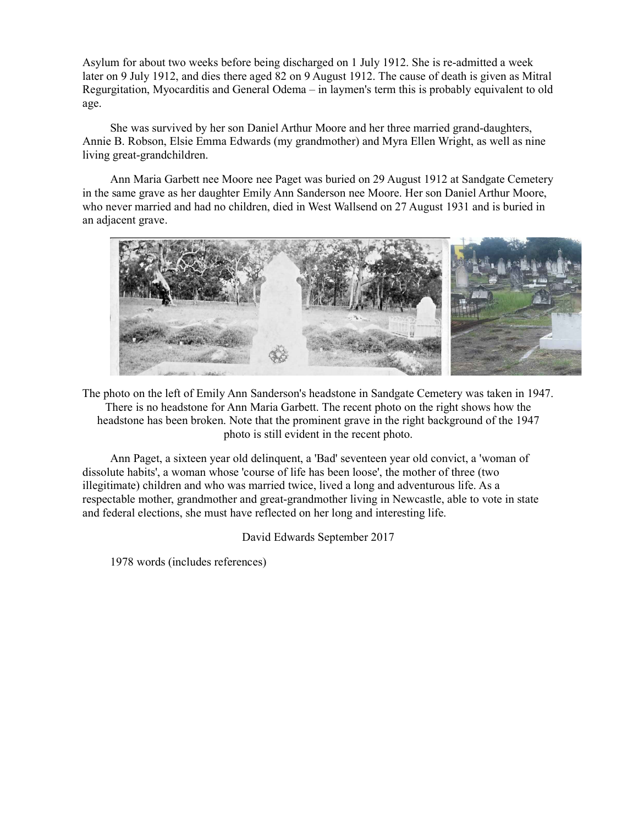Asylum for about two weeks before being discharged on 1 July 1912. She is re-admitted a week later on 9 July 1912, and dies there aged 82 on 9 August 1912. The cause of death is given as Mitral Regurgitation, Myocarditis and General Odema – in laymen's term this is probably equivalent to old age.

She was survived by her son Daniel Arthur Moore and her three married grand-daughters, Annie B. Robson, Elsie Emma Edwards (my grandmother) and Myra Ellen Wright, as well as nine living great-grandchildren.

Ann Maria Garbett nee Moore nee Paget was buried on 29 August 1912 at Sandgate Cemetery in the same grave as her daughter Emily Ann Sanderson nee Moore. Her son Daniel Arthur Moore, who never married and had no children, died in West Wallsend on 27 August 1931 and is buried in an adjacent grave.



The photo on the left of Emily Ann Sanderson's headstone in Sandgate Cemetery was taken in 1947. There is no headstone for Ann Maria Garbett. The recent photo on the right shows how the headstone has been broken. Note that the prominent grave in the right background of the 1947 photo is still evident in the recent photo.

Ann Paget, a sixteen year old delinquent, a 'Bad' seventeen year old convict, a 'woman of dissolute habits', a woman whose 'course of life has been loose', the mother of three (two illegitimate) children and who was married twice, lived a long and adventurous life. As a respectable mother, grandmother and great-grandmother living in Newcastle, able to vote in state and federal elections, she must have reflected on her long and interesting life.

David Edwards September 2017

1978 words (includes references)